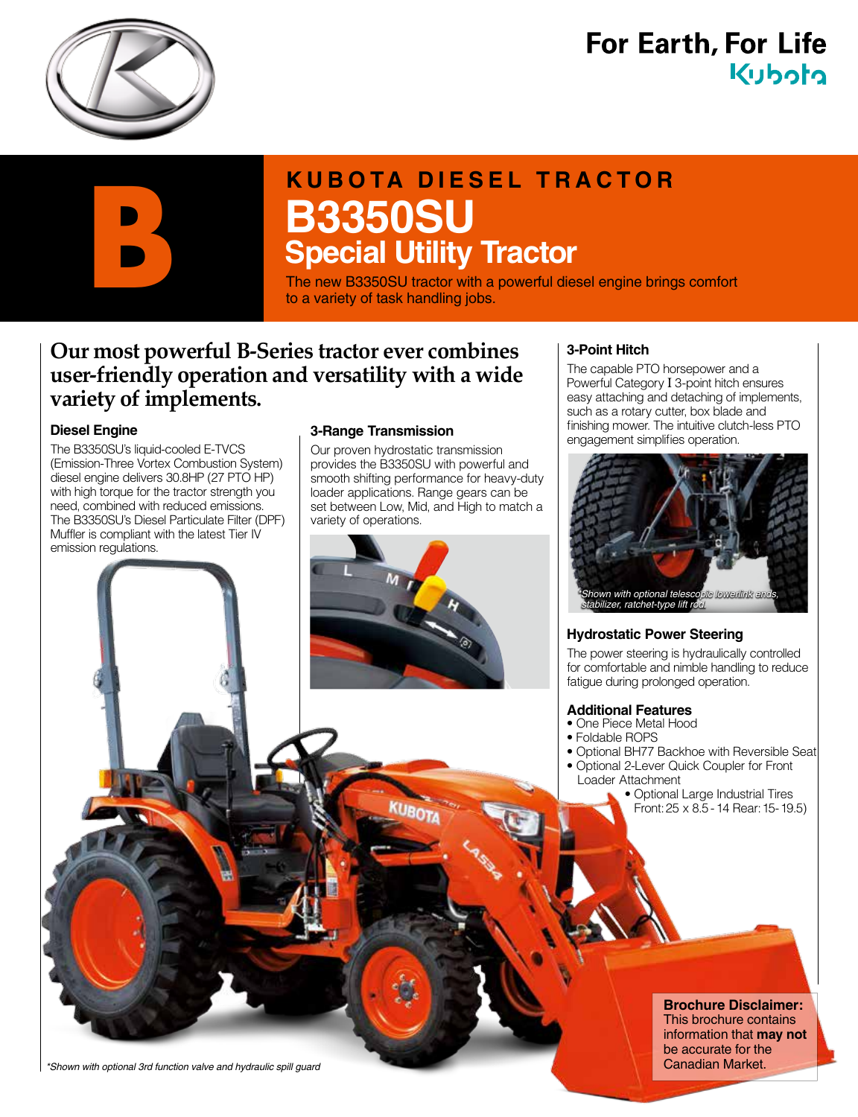

# **For Earth, For Life** Kuboto

# **KUBOTA DIESEL TRACTOR B3350SU Special Utility Tractor B3350SU**<br> **Special Utility Tractor**<br>
The new B3350SU tractor with a powerful diesel engine brings comfort<br>
to a variety of task handling jobs.

to a variety of task handling jobs.

## **Our most powerful B-Series tractor ever combines user-friendly operation and versatility with a wide variety of implements.**

#### **Diesel Engine**

The B3350SU's liquid-cooled E-TVCS (Emission-Three Vortex Combustion System) diesel engine delivers 30.8HP (27 PTO HP) with high torque for the tractor strength you need, combined with reduced emissions. The B3350SU's Diesel Particulate Filter (DPF) Muffler is compliant with the latest Tier IV emission regulations.

#### **3-Range Transmission**

Our proven hydrostatic transmission provides the B3350SU with powerful and smooth shifting performance for heavy-duty loader applications. Range gears can be set between Low, Mid, and High to match a variety of operations.



#### **3-Point Hitch**

The capable PTO horsepower and a Powerful Category I 3-point hitch ensures easy attaching and detaching of implements, such as a rotary cutter, box blade and finishing mower. The intuitive clutch-less PTO engagement simplifies operation.



#### **Hydrostatic Power Steering**

The power steering is hydraulically controlled for comfortable and nimble handling to reduce fatigue during prolonged operation.

#### **Additional Features**

- One Piece Metal Hood
- Foldable ROPS
- Optional BH77 Backhoe with Reversible Seat
- Optional 2-Lever Quick Coupler for Front Loader Attachment
	- Optional Large Industrial Tires Front: 25 x 8.5 - 14 Rear: 15- 19.5)

**Brochure Disclaimer:** This brochure contains information that **may not** be accurate for the Canadian Market.

*\*Shown with optional 3rd function valve and hydraulic spill guard*